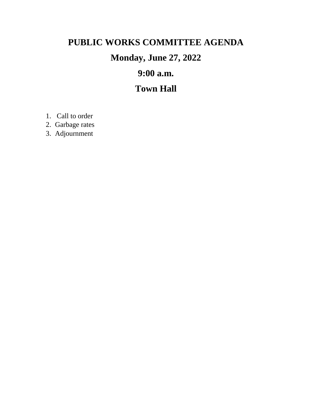# **PUBLIC WORKS COMMITTEE AGENDA**

# **Monday, June 27, 2022**

# **9:00 a.m.**

### **Town Hall**

- 1. Call to order
- 2. Garbage rates
- 3. Adjournment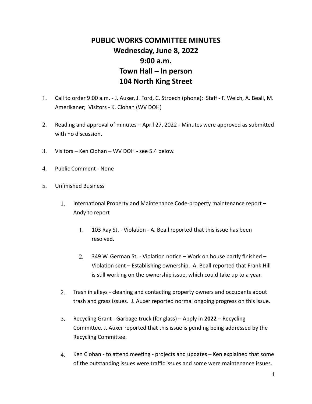### **PUBLIC WORKS COMMITTEE MINUTES Wednesday, June 8, 2022 9:00 a.m. Town Hall – In person 104 North King Street**

- 1. Call to order 9:00 a.m. J. Auxer, J. Ford, C. Stroech (phone); Staff F. Welch, A. Beall, M. Amerikaner; Visitors - K. Clohan (WV DOH)
- 2. Reading and approval of minutes  $-$  April 27, 2022 Minutes were approved as submitted with no discussion.
- 3. Visitors Ken Clohan WV DOH see 5.4 below.
- 4. Public Comment None
- 5. Unfinished Business
	- 1. International Property and Maintenance Code-property maintenance report Andy to report
		- 1. 103 Ray St. Violation A. Beall reported that this issue has been resolved.
		- 2. 349 W. German St. Violation notice Work on house partly finished Violation sent – Establishing ownership. A. Beall reported that Frank Hill is still working on the ownership issue, which could take up to a year.
	- 2. Trash in alleys cleaning and contacting property owners and occupants about trash and grass issues. J. Auxer reported normal ongoing progress on this issue.
	- 3. Recycling Grant Garbage truck (for glass) Apply in **2022**  Recycling Committee. J. Auxer reported that this issue is pending being addressed by the Recycling Committee.
	- 4. Ken Clohan to attend meeting projects and updates Ken explained that some of the outstanding issues were traffic issues and some were maintenance issues.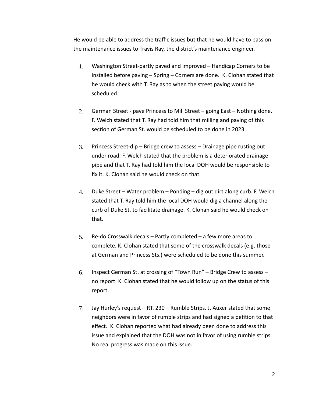He would be able to address the traffic issues but that he would have to pass on the maintenance issues to Travis Ray, the district's maintenance engineer.

- 1. Washington Street-partly paved and improved Handicap Corners to be installed before paving – Spring – Corners are done. K. Clohan stated that he would check with T. Ray as to when the street paving would be scheduled.
- 2. German Street pave Princess to Mill Street going East Nothing done. F. Welch stated that T. Ray had told him that milling and paving of this section of German St. would be scheduled to be done in 2023.
- $3.$  Princess Street-dip Bridge crew to assess Drainage pipe rusting out under road. F. Welch stated that the problem is a deteriorated drainage pipe and that T. Ray had told him the local DOH would be responsible to fix it. K. Clohan said he would check on that.
- 4. Duke Street Water problem Ponding dig out dirt along curb. F. Welch stated that T. Ray told him the local DOH would dig a channel along the curb of Duke St. to facilitate drainage. K. Clohan said he would check on that.
- 5. Re-do Crosswalk decals Partly completed a few more areas to complete. K. Clohan stated that some of the crosswalk decals (e.g. those at German and Princess Sts.) were scheduled to be done this summer.
- 6. Inspect German St. at crossing of "Town Run" Bridge Crew to assess no report. K. Clohan stated that he would follow up on the status of this report.
- 7. Jay Hurley's request RT. 230 Rumble Strips. J. Auxer stated that some neighbors were in favor of rumble strips and had signed a petition to that effect. K. Clohan reported what had already been done to address this issue and explained that the DOH was not in favor of using rumble strips. No real progress was made on this issue.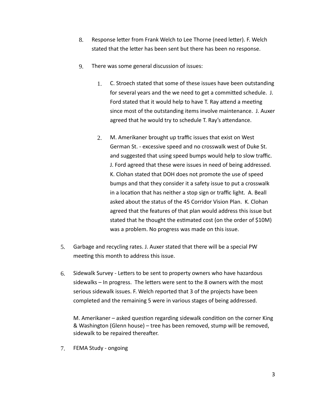- 8. Response letter from Frank Welch to Lee Thorne (need letter). F. Welch stated that the letter has been sent but there has been no response.
- 9. There was some general discussion of issues:
	- 1. C. Stroech stated that some of these issues have been outstanding for several years and the we need to get a committed schedule. J. Ford stated that it would help to have T. Ray attend a meeting since most of the outstanding items involve maintenance. J. Auxer agreed that he would try to schedule T. Ray's attendance.
	- 2. M. Amerikaner brought up traffic issues that exist on West German St. - excessive speed and no crosswalk west of Duke St. and suggested that using speed bumps would help to slow traffic. J. Ford agreed that these were issues in need of being addressed. K. Clohan stated that DOH does not promote the use of speed bumps and that they consider it a safety issue to put a crosswalk in a location that has neither a stop sign or traffic light. A. Beall asked about the status of the 45 Corridor Vision Plan. K. Clohan agreed that the features of that plan would address this issue but stated that he thought the estimated cost (on the order of \$10M) was a problem. No progress was made on this issue.
- 5. Garbage and recycling rates. J. Auxer stated that there will be a special PW meeting this month to address this issue.
- 6. Sidewalk Survey Letters to be sent to property owners who have hazardous sidewalks – In progress. The letters were sent to the 8 owners with the most serious sidewalk issues. F. Welch reported that 3 of the projects have been completed and the remaining 5 were in various stages of being addressed.

M. Amerikaner  $-$  asked question regarding sidewalk condition on the corner King & Washington (Glenn house) – tree has been removed, stump will be removed, sidewalk to be repaired thereafter.

7. FEMA Study - ongoing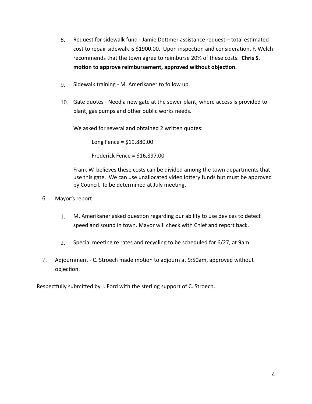- 8. Request for sidewalk fund Jamie Dettmer assistance request total estimated cost to repair sidewalk is \$1900.00. Upon inspection and consideration, F. Welch recommends that the town agree to reimburse 20% of these costs. **Chris S.**  motion to approve reimbursement, approved without objection.
- 9. Sidewalk training M. Amerikaner to follow up.
- 10. Gate quotes Need a new gate at the sewer plant, where access is provided to plant, gas pumps and other public works needs.

We asked for several and obtained 2 written quotes:

Long Fence = \$19,880.00

Frederick Fence = \$16,897.00

Frank W. believes these costs can be divided among the town departments that use this gate. We can use unallocated video lottery funds but must be approved by Council. To be determined at July meeting.

- 6. Mayor's report
	- 1. M. Amerikaner asked question regarding our ability to use devices to detect speed and sound in town. Mayor will check with Chief and report back.
	- 2. Special meeting re rates and recycling to be scheduled for  $6/27$ , at 9am.
- 7. Adjournment C. Stroech made motion to adjourn at 9:50am, approved without objection.

Respectfully submitted by J. Ford with the sterling support of C. Stroech.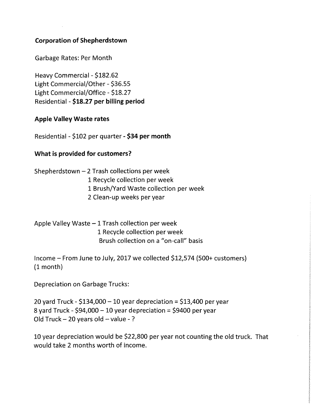### **Corporation of Shepherdstown**

**Garbage Rates: Per Month** 

Heavy Commercial - \$182.62 Light Commercial/Other - \$36.55 Light Commercial/Office - \$18.27 Residential - \$18.27 per billing period

#### **Apple Valley Waste rates**

Residential - \$102 per quarter - \$34 per month

#### What is provided for customers?

Shepherdstown - 2 Trash collections per week 1 Recycle collection per week 1 Brush/Yard Waste collection per week 2 Clean-up weeks per year

Apple Valley Waste - 1 Trash collection per week 1 Recycle collection per week Brush collection on a "on-call" basis

Income – From June to July, 2017 we collected \$12,574 (500+ customers)  $(1$  month)

**Depreciation on Garbage Trucks:** 

20 yard Truck - \$134,000 - 10 year depreciation = \$13,400 per year 8 yard Truck - \$94,000 - 10 year depreciation = \$9400 per year Old Truck - 20 years old - value -?

10 year depreciation would be \$22,800 per year not counting the old truck. That would take 2 months worth of income.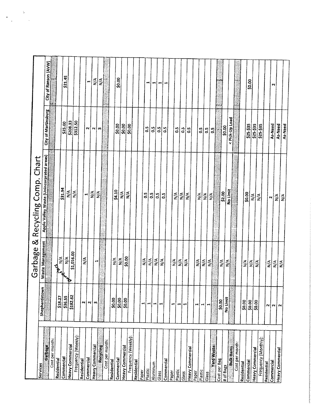|                              |                          |                                                | Garbage & Recycling Comp. Chart          |                            |                             |
|------------------------------|--------------------------|------------------------------------------------|------------------------------------------|----------------------------|-----------------------------|
| Services                     | Shepherdstown            | Waste Management                               |                                          |                            |                             |
| Garbag                       |                          |                                                | Apple Valley Waste (Unincorprated areas) | <b>City of Martinsburg</b> | City of Ranson (AVW)        |
| Cost per month:              |                          |                                                |                                          |                            |                             |
| Residential                  | \$18.27                  |                                                |                                          |                            |                             |
| Commercial                   | \$36.55                  | $\frac{ \mathbf{A} }{ \mathbf{B} }$<br>Angland | \$31.94                                  | \$25.00                    | \$21.45                     |
| Heavy Commercial             | \$182.62                 |                                                | $\sum_{i=1}^{n}$                         |                            |                             |
| Frequency (Weekly):          |                          | \$1,016.00                                     | Ş                                        | 5208.33                    |                             |
| Residential                  | N                        |                                                |                                          |                            |                             |
| Commercial                   |                          | N/A                                            | $\blacksquare$                           | r1                         | ₹                           |
| <b>Heavy Commercial</b>      | $\sim$                   |                                                | ⋚                                        |                            |                             |
|                              | m                        | Ħ                                              | $\frac{3}{2}$                            | N∣m                        |                             |
| Cost per month:<br>Recyclima | S                        |                                                |                                          |                            | $\frac{1}{2}$ $\frac{1}{2}$ |
| Residential                  |                          |                                                |                                          |                            |                             |
|                              | \$0.00                   | $\mathbf{N}^{A}$                               |                                          | $rac{10}{20}$              |                             |
| Commercial                   | 50.00                    | ≶<br>M∕                                        | $\frac{24.10}{N/A}$                      |                            | \$0.00                      |
| <b>Heavy Commercial</b>      | $\frac{1}{20.00}$        | \$0.00                                         | $ \tilde{\ge} $                          | $rac{500}{5000}$           |                             |
| Frequency (Weekly):          |                          |                                                |                                          |                            |                             |
| Residential                  |                          |                                                |                                          |                            |                             |
| Paper                        | 44                       | $\sum_{\mathbf{Z}}^{\mathbf{Z}}$               |                                          |                            |                             |
| Plastic                      | $\mathbf{H}$             |                                                | o.s                                      | $\ddot{\circ}$             | Ħ                           |
| Aluminum                     | $\mathbf{H}$             | $\frac{4}{2}$                                  |                                          | 0.5                        | Ħ                           |
| Glass                        |                          | $\sum_{i=1}^{n}$                               | ဒ္ဓိုဒ္ဓိုဒ္မ                            | ဒါ                         | ٣f                          |
|                              | $\mathbf \cdot$          | $\frac{4}{2}$                                  |                                          | $\frac{5}{2}$              |                             |
| Commercial                   |                          |                                                |                                          |                            | <b>THE</b>                  |
| Paper                        | ٣ł                       | $\sum_{i=1}^{n}$                               | N/A                                      |                            |                             |
| Plastic                      | $\overline{\phantom{a}}$ | $\frac{1}{2}$                                  |                                          | $\ddot{0}$                 |                             |
| Glass                        | ᆏ                        | $\sum_{i=1}^{n}$                               | $\frac{1}{2}$                            | 33                         |                             |
| <b>Heavy Commercial</b>      |                          |                                                | N/A                                      |                            |                             |
| Paper                        | Н                        |                                                |                                          |                            |                             |
| Plastic                      |                          | $\sum_{i=1}^{n}$                               | N/A                                      | 0.5                        |                             |
| Glass                        | ᆆ                        | $\frac{4}{\sqrt{2}}$                           | $\frac{\mathbf{A}}{N}$                   | ຶ່ງ                        |                             |
| <b>Yard Waster</b>           |                          | N/A                                            | $\frac{1}{2}$                            | $\mathbf{S}$               |                             |
| Cost per Bag                 |                          |                                                |                                          |                            |                             |
| # of Bags                    | \$0.00                   | $\leq$                                         | \$2.00                                   | \$0.00                     |                             |
|                              | No Limit                 | $\frac{d}{d}$                                  | <b>No Limit</b>                          |                            |                             |
| <b>Bulk Items</b>            |                          |                                                |                                          | Pick-Up Load               |                             |
| Cost per month:              |                          |                                                |                                          |                            |                             |
| Residential                  | $rac{20.00}{50.00}$      | $\frac{3}{2}$                                  | \$0.00                                   |                            |                             |
| Commercial                   |                          |                                                | $\frac{ \mathbf{A} }{ \mathbf{A} }$      | \$25-\$35                  | \$0.00                      |
| <b>Heavy Commercial</b>      | \$0.00                   | $rac{\leq}{\leq}$                              |                                          | \$25-\$35<br>\$25-\$35     |                             |
| Frequency (Monthly):         |                          |                                                | $\sum_{i=1}^{n}$                         |                            |                             |
| Residential                  | N                        | $\frac{1}{2}$                                  |                                          |                            |                             |
| Commercial                   | $\sim$                   |                                                | $\sim$                                   | As-Need                    | $\sim$                      |
| Heavy Commercial             | $\sim$                   | $\frac{1}{2}$                                  | $\frac{4}{2}$                            | As-Need                    |                             |
|                              |                          |                                                | <b>AV</b>                                | As-Need                    |                             |
|                              |                          |                                                |                                          |                            |                             |

 $\begin{aligned} \Psi_{\alpha\beta} = \frac{1}{2} \end{aligned}$ 

 $\frac{1}{\sqrt{2}}$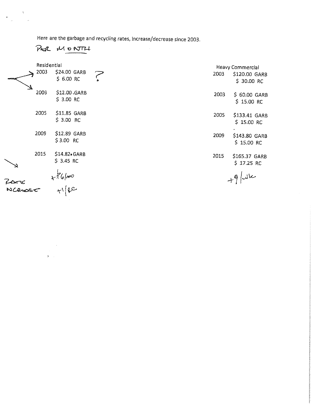Here are the garbage and recycling rates, increase/decrease since 2003.

PUR MONTH

 $\bar{\mathbf{v}}$ 

 $\begin{array}{c} \mathbf{w} \\ \mathbf{w} \end{array}$ 

| Residential<br>2003 | \$24.00 GARB<br>\$6.00 RC   | 2003 | Heavy Commercial<br>\$120.00 GARB<br>\$ 30.00 RC |
|---------------------|-----------------------------|------|--------------------------------------------------|
| 2003                | \$12.00 GARB<br>$$3.00$ RC  | 2003 | \$ 60.00 GARB<br>$$15.00$ RC                     |
| 2005                | \$11.85 GARB<br>$$3.00$ RC  | 2005 | \$133.41 GARB<br>$$15.00$ RC                     |
| 2009                | \$12.89 GARB<br>\$3.00 RC   | 2009 | \$143.80 GARB<br>$$15.00$ RC                     |
| 2015                | \$14.82. GARB<br>$$3.45$ RC | 2015 | \$165.37 GARB<br>$$17.25$ RC                     |
|                     | $x76/m0$<br>$x1/\kappa$     |      | $+9/44$                                          |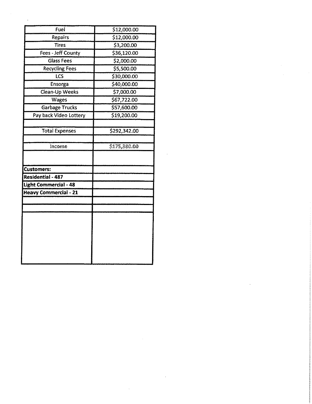| Fuel<br>Repairs              | \$12,000.00<br>\$12,000.00 |  |
|------------------------------|----------------------------|--|
| <b>Tires</b>                 | \$3,200.00                 |  |
| Fees - Jeff County           | \$36,120.00                |  |
| <b>Glass Fees</b>            | \$2,000.00                 |  |
| <b>Recycling Fees</b>        | \$5,500.00                 |  |
| LCS                          | \$30,000.00                |  |
| Ensorga                      | \$40,000.00                |  |
| Clean-Up Weeks               | \$7,000.00                 |  |
| Wages                        | \$67,722.00                |  |
| <b>Garbage Trucks</b>        | \$57,600.00                |  |
| Pay back Video Lottery       | \$19,200.00                |  |
| <b>Total Expenses</b>        | \$292,342.00               |  |
| Income                       | \$175,380.00               |  |
| <b>Customers:</b>            |                            |  |
| <b>Residential - 487</b>     |                            |  |
| <b>Light Commercial - 48</b> |                            |  |
| <b>Heavy Commercial - 21</b> |                            |  |
|                              |                            |  |
|                              |                            |  |

 $\label{eq:2.1} \frac{1}{\sqrt{2}}\int_{0}^{\infty}\frac{1}{\sqrt{2\pi}}\left(\frac{1}{\sqrt{2\pi}}\right)^{2}d\mu\left(\frac{1}{\sqrt{2\pi}}\right)\frac{d\mu}{d\mu}d\mu\left(\frac{1}{\sqrt{2\pi}}\right).$ 

 $\sim 10^{11}$ 

 $\label{eq:2.1} \frac{1}{\sqrt{2}}\int_{\mathbb{R}^3}\frac{1}{\sqrt{2}}\left(\frac{1}{\sqrt{2}}\right)^2\frac{1}{\sqrt{2}}\left(\frac{1}{\sqrt{2}}\right)^2\frac{1}{\sqrt{2}}\left(\frac{1}{\sqrt{2}}\right)^2.$ 

 $\label{eq:2.1} \begin{split} \frac{d}{dt} \frac{d}{dt} \left( \frac{d}{dt} \right) & = \frac{1}{2} \left( \frac{d}{dt} \right) \frac{d}{dt} \left( \frac{d}{dt} \right) \\ & = \frac{1}{2} \left( \frac{d}{dt} \right) \frac{d}{dt} \left( \frac{d}{dt} \right) & = \frac{1}{2} \left( \frac{d}{dt} \right) \frac{d}{dt} \left( \frac{d}{dt} \right) \\ & = \frac{1}{2} \left( \frac{d}{dt} \right) \frac{d}{dt} \left( \frac{d}{dt} \right) & = \frac{1}{2}$ 

 $\label{eq:2.1} \frac{1}{2} \sum_{i=1}^n \frac{1}{2} \sum_{j=1}^n \frac{1}{2} \sum_{j=1}^n \frac{1}{2} \sum_{j=1}^n \frac{1}{2} \sum_{j=1}^n \frac{1}{2} \sum_{j=1}^n \frac{1}{2} \sum_{j=1}^n \frac{1}{2} \sum_{j=1}^n \frac{1}{2} \sum_{j=1}^n \frac{1}{2} \sum_{j=1}^n \frac{1}{2} \sum_{j=1}^n \frac{1}{2} \sum_{j=1}^n \frac{1}{2} \sum_{j=1}^n \frac{$